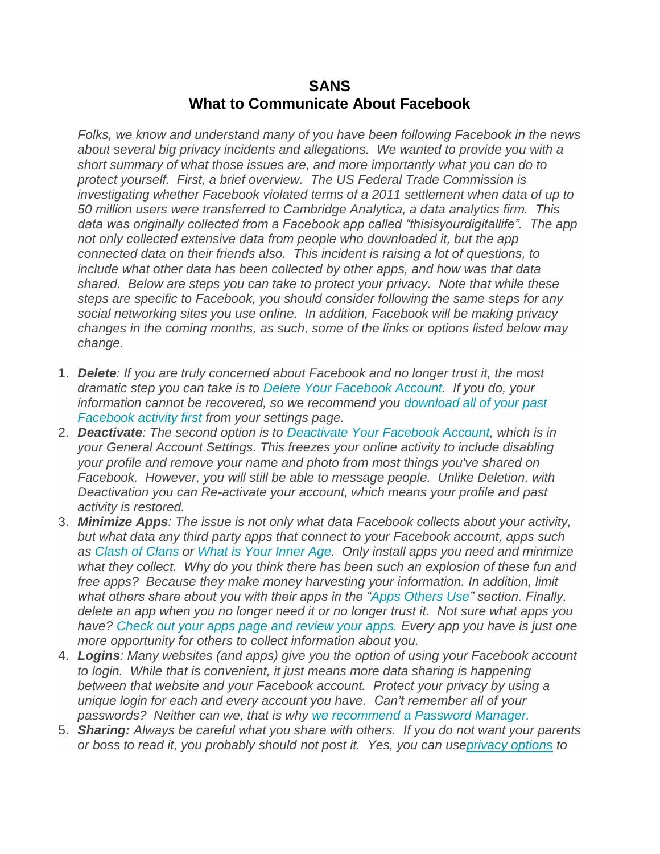## **SANS What to Communicate About Facebook**

*Folks, we know and understand many of you have been following Facebook in the news about several big privacy incidents and allegations. We wanted to provide you with a short summary of what those issues are, and more importantly what you can do to protect yourself. First, a brief overview. The US Federal Trade Commission is investigating whether Facebook violated terms of a 2011 settlement when data of up to 50 million users were transferred to Cambridge Analytica, a data analytics firm. This data was originally collected from a Facebook app called "thisisyourdigitallife". The app not only collected extensive data from people who downloaded it, but the app connected data on their friends also. This incident is raising a lot of questions, to include what other data has been collected by other apps, and how was that data shared. Below are steps you can take to protect your privacy. Note that while these steps are specific to Facebook, you should consider following the same steps for any social networking sites you use online. In addition, Facebook will be making privacy changes in the coming months, as such, some of the links or options listed below may change.*

- 1. *Delete: If you are truly concerned about Facebook and no longer trust it, the most dramatic step you can take is to [Delete Your Facebook Account.](https://www.facebook.com/help/224562897555674) If you do, your information cannot be recovered, so we recommend you [download all of your past](https://www.facebook.com/settings)  [Facebook activity first](https://www.facebook.com/settings) from your settings page.*
- 2. *Deactivate: The second option is to [Deactivate Your Facebook Account,](https://www.facebook.com/settings?tab=account§ion=account_management) which is in your General Account Settings. This freezes your online activity to include disabling your profile and remove your name and photo from most things you've shared on Facebook. However, you will still be able to message people. Unlike Deletion, with Deactivation you can Re-activate your account, which means your profile and past activity is restored.*
- 3. *Minimize Apps: The issue is not only what data Facebook collects about your activity, but what data any third party apps that connect to your Facebook account, apps such as [Clash of Clans](https://hotfunapps.com/clashofclans/) or [What is Your Inner Age.](https://hotfunapps.com/innerage/) Only install apps you need and minimize what they collect. Why do you think there has been such an explosion of these fun and free apps? Because they make money harvesting your information. In addition, limit what others share about you with their apps in the ["Apps Others Use"](https://www.facebook.com/settings?tab=applications) section. Finally, delete an app when you no longer need it or no longer trust it. Not sure what apps you have? [Check out your apps page and review your apps.](https://www.facebook.com/settings?tab=applications) Every app you have is just one more opportunity for others to collect information about you.*
- 4. *Logins: Many websites (and apps) give you the option of using your Facebook account to login. While that is convenient, it just means more data sharing is happening between that website and your Facebook account. Protect your privacy by using a unique login for each and every account you have. Can't remember all of your passwords? Neither can we, that is why [we recommend a Password Manager.](https://www.sans.org/security-awareness-training/ouch-newsletter/2017/password-managers)*
- 5. *Sharing: Always be careful what you share with others. If you do not want your parents or boss to read it, you probably should not post it. Yes, you can us[eprivacy options](https://www.facebook.com/settings?tab=privacy) to*